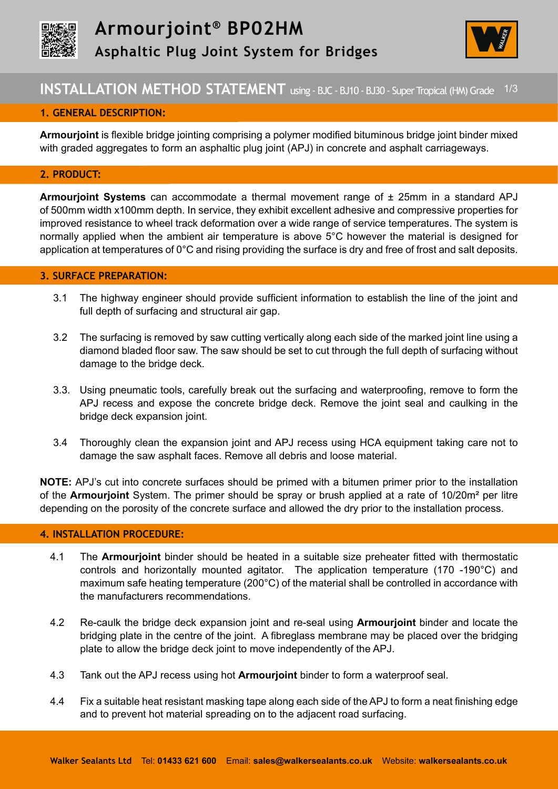



## **INSTALLATION METHOD STATEMENT** using - BJC - BJ10 - BJ30 - Super Tropical (HM) Grade 1/3

## **1. GENERAL DESCRIPTION:**

**Armourjoint** is flexible bridge jointing comprising a polymer modified bituminous bridge joint binder mixed with graded aggregates to form an asphaltic plug joint (APJ) in concrete and asphalt carriageways.

## **2. PRODUCT:**

**Armourjoint Systems** can accommodate a thermal movement range of ± 25mm in a standard APJ of 500mm width x100mm depth. In service, they exhibit excellent adhesive and compressive properties for improved resistance to wheel track deformation over a wide range of service temperatures. The system is normally applied when the ambient air temperature is above 5°C however the material is designed for application at temperatures of 0°C and rising providing the surface is dry and free of frost and salt deposits.

## **3. SURFACE PREPARATION:**

- 3.1 The highway engineer should provide sufficient information to establish the line of the joint and full depth of surfacing and structural air gap.
- 3.2 The surfacing is removed by saw cutting vertically along each side of the marked joint line using a diamond bladed floor saw. The saw should be set to cut through the full depth of surfacing without damage to the bridge deck.
- 3.3. Using pneumatic tools, carefully break out the surfacing and waterproofing, remove to form the APJ recess and expose the concrete bridge deck. Remove the joint seal and caulking in the bridge deck expansion joint.
- 3.4 Thoroughly clean the expansion joint and APJ recess using HCA equipment taking care not to damage the saw asphalt faces. Remove all debris and loose material.

**NOTE:** APJ's cut into concrete surfaces should be primed with a bitumen primer prior to the installation of the **Armourjoint** System. The primer should be spray or brush applied at a rate of 10/20m² per litre depending on the porosity of the concrete surface and allowed the dry prior to the installation process.

#### **4. INSTALLATION PROCEDURE:**

- 4.1 The **Armourjoint** binder should be heated in a suitable size preheater fitted with thermostatic controls and horizontally mounted agitator. The application temperature (170 -190°C) and maximum safe heating temperature (200°C) of the material shall be controlled in accordance with the manufacturers recommendations.
- 4.2 Re-caulk the bridge deck expansion joint and re-seal using **Armourjoint** binder and locate the bridging plate in the centre of the joint. A fibreglass membrane may be placed over the bridging plate to allow the bridge deck joint to move independently of the APJ.
- 4.3 Tank out the APJ recess using hot **Armourjoint** binder to form a waterproof seal.
- 4.4 Fix a suitable heat resistant masking tape along each side of the APJ to form a neat finishing edge and to prevent hot material spreading on to the adjacent road surfacing.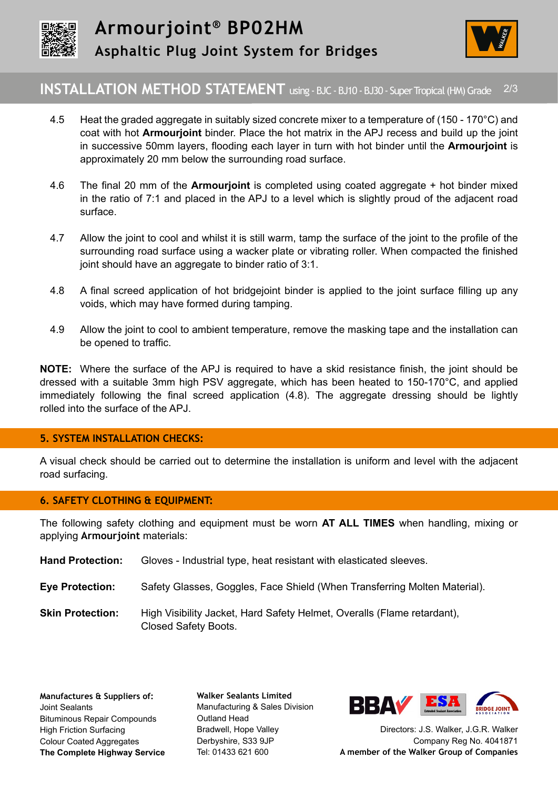



# **INSTALLATION METHOD STATEMENT** using - BJC - BJ10 - BJ30 - Super Tropical (HM) Grade 2/3

- 4.5 Heat the graded aggregate in suitably sized concrete mixer to a temperature of (150 170°C) and coat with hot **Armourjoint** binder. Place the hot matrix in the APJ recess and build up the joint in successive 50mm layers, flooding each layer in turn with hot binder until the **Armourjoint** is approximately 20 mm below the surrounding road surface.
- 4.6 The final 20 mm of the **Armourjoint** is completed using coated aggregate + hot binder mixed in the ratio of 7:1 and placed in the APJ to a level which is slightly proud of the adjacent road surface.
- 4.7 Allow the joint to cool and whilst it is still warm, tamp the surface of the joint to the profile of the surrounding road surface using a wacker plate or vibrating roller. When compacted the finished joint should have an aggregate to binder ratio of 3:1.
- 4.8 A final screed application of hot bridgejoint binder is applied to the joint surface filling up any voids, which may have formed during tamping.
- 4.9 Allow the joint to cool to ambient temperature, remove the masking tape and the installation can be opened to traffic.

**NOTE:** Where the surface of the APJ is required to have a skid resistance finish, the joint should be dressed with a suitable 3mm high PSV aggregate, which has been heated to 150-170°C, and applied immediately following the final screed application (4.8). The aggregate dressing should be lightly rolled into the surface of the APJ.

## **5. SYSTEM INSTALLATION CHECKS:**

A visual check should be carried out to determine the installation is uniform and level with the adjacent road surfacing.

## **6. SAFETY CLOTHING & EQUIPMENT:**

The following safety clothing and equipment must be worn **AT ALL TIMES** when handling, mixing or applying **Armourjoint** materials:

- **Hand Protection:** Gloves Industrial type, heat resistant with elasticated sleeves.
- **Eye Protection:** Safety Glasses, Goggles, Face Shield (When Transferring Molten Material).

**Skin Protection:** High Visibility Jacket, Hard Safety Helmet, Overalls (Flame retardant), Closed Safety Boots.

**Walker Sealants Limited**  Manufacturing & Sales Division Outland Head Bradwell, Hope Valley Derbyshire, S33 9JP Tel: 01433 621 600



Directors: J.S. Walker, J.G.R. Walker Company Reg No. 4041871 **A member of the Walker Group of Companies**